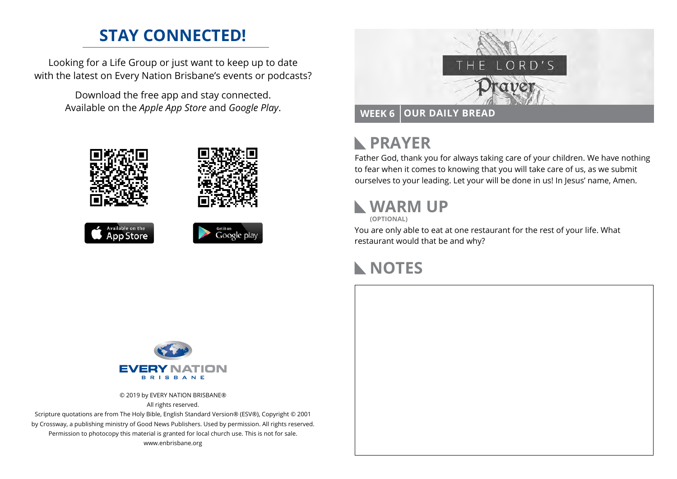# **STAY CONNECTED!**

Looking for a Life Group or just want to keep up to date with the latest on Every Nation Brisbane's events or podcasts?

> Download the free app and stay connected. Available on the *Apple App Store* and *Google Play*.











#### **PRAYER**  $\mathbb{R}$

Father God, thank you for always taking care of your children. We have nothing to fear when it comes to knowing that you will take care of us, as we submit ourselves to your leading. Let your will be done in us! In Jesus' name, Amen.

# **WARM UP**

**(OPTIONAL)**

You are only able to eat at one restaurant for the rest of your life. What restaurant would that be and why?

# **NOTES**



© 2019 by EVERY NATION BRISBANE® All rights reserved.

Scripture quotations are from The Holy Bible, English Standard Version® (ESV®), Copyright © 2001 by Crossway, a publishing ministry of Good News Publishers. Used by permission. All rights reserved. Permission to photocopy this material is granted for local church use. This is not for sale. www.enbrisbane.org